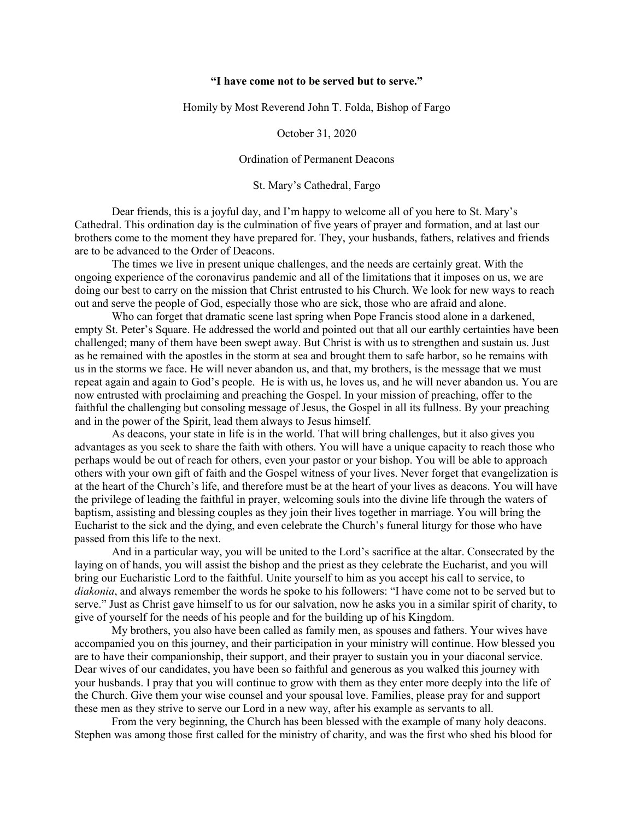## **"I have come not to be served but to serve."**

Homily by Most Reverend John T. Folda, Bishop of Fargo

October 31, 2020

## Ordination of Permanent Deacons

St. Mary's Cathedral, Fargo

Dear friends, this is a joyful day, and I'm happy to welcome all of you here to St. Mary's Cathedral. This ordination day is the culmination of five years of prayer and formation, and at last our brothers come to the moment they have prepared for. They, your husbands, fathers, relatives and friends are to be advanced to the Order of Deacons.

The times we live in present unique challenges, and the needs are certainly great. With the ongoing experience of the coronavirus pandemic and all of the limitations that it imposes on us, we are doing our best to carry on the mission that Christ entrusted to his Church. We look for new ways to reach out and serve the people of God, especially those who are sick, those who are afraid and alone.

Who can forget that dramatic scene last spring when Pope Francis stood alone in a darkened, empty St. Peter's Square. He addressed the world and pointed out that all our earthly certainties have been challenged; many of them have been swept away. But Christ is with us to strengthen and sustain us. Just as he remained with the apostles in the storm at sea and brought them to safe harbor, so he remains with us in the storms we face. He will never abandon us, and that, my brothers, is the message that we must repeat again and again to God's people. He is with us, he loves us, and he will never abandon us. You are now entrusted with proclaiming and preaching the Gospel. In your mission of preaching, offer to the faithful the challenging but consoling message of Jesus, the Gospel in all its fullness. By your preaching and in the power of the Spirit, lead them always to Jesus himself.

As deacons, your state in life is in the world. That will bring challenges, but it also gives you advantages as you seek to share the faith with others. You will have a unique capacity to reach those who perhaps would be out of reach for others, even your pastor or your bishop. You will be able to approach others with your own gift of faith and the Gospel witness of your lives. Never forget that evangelization is at the heart of the Church's life, and therefore must be at the heart of your lives as deacons. You will have the privilege of leading the faithful in prayer, welcoming souls into the divine life through the waters of baptism, assisting and blessing couples as they join their lives together in marriage. You will bring the Eucharist to the sick and the dying, and even celebrate the Church's funeral liturgy for those who have passed from this life to the next.

And in a particular way, you will be united to the Lord's sacrifice at the altar. Consecrated by the laying on of hands, you will assist the bishop and the priest as they celebrate the Eucharist, and you will bring our Eucharistic Lord to the faithful. Unite yourself to him as you accept his call to service, to *diakonia*, and always remember the words he spoke to his followers: "I have come not to be served but to serve." Just as Christ gave himself to us for our salvation, now he asks you in a similar spirit of charity, to give of yourself for the needs of his people and for the building up of his Kingdom.

My brothers, you also have been called as family men, as spouses and fathers. Your wives have accompanied you on this journey, and their participation in your ministry will continue. How blessed you are to have their companionship, their support, and their prayer to sustain you in your diaconal service. Dear wives of our candidates, you have been so faithful and generous as you walked this journey with your husbands. I pray that you will continue to grow with them as they enter more deeply into the life of the Church. Give them your wise counsel and your spousal love. Families, please pray for and support these men as they strive to serve our Lord in a new way, after his example as servants to all.

From the very beginning, the Church has been blessed with the example of many holy deacons. Stephen was among those first called for the ministry of charity, and was the first who shed his blood for